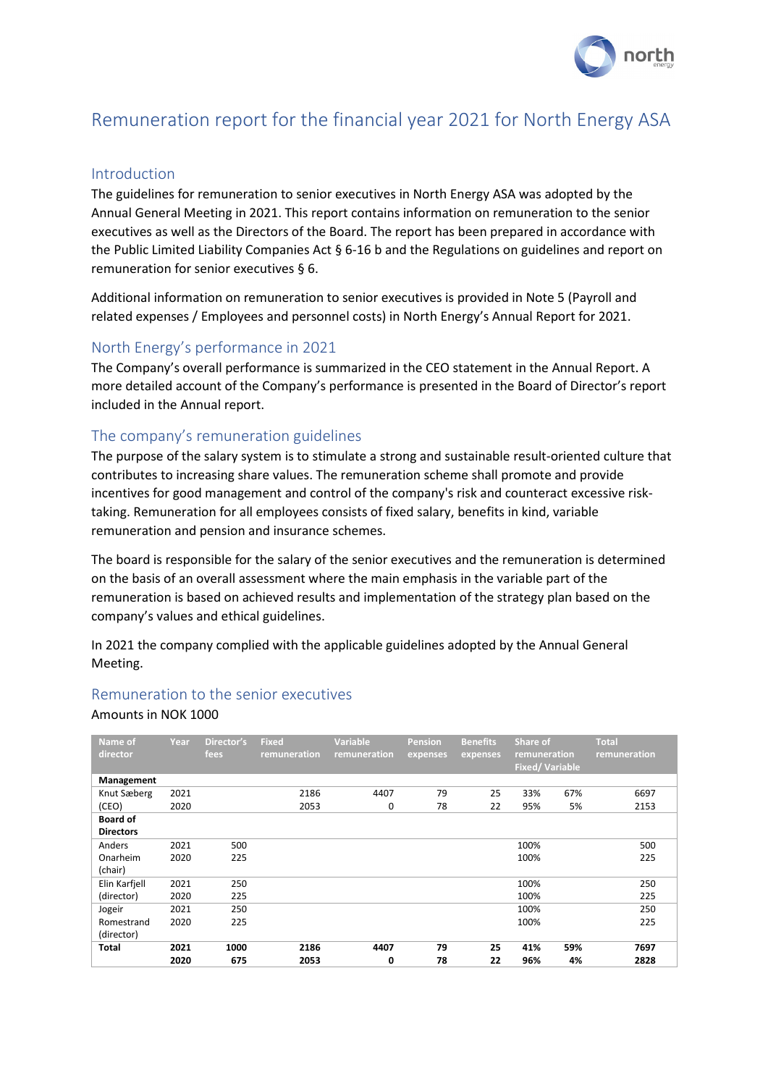

# Remuneration report for the financial year 2021 for North Energy ASA

#### Introduction

The guidelines for remuneration to senior executives in North Energy ASA was adopted by the Annual General Meeting in 2021. This report contains information on remuneration to the senior executives as well as the Directors of the Board. The report has been prepared in accordance with the Public Limited Liability Companies Act § 6-16 b and the Regulations on guidelines and report on remuneration for senior executives § 6.

Additional information on remuneration to senior executives is provided in Note 5 (Payroll and related expenses / Employees and personnel costs) in North Energy's Annual Report for 2021.

### North Energy's performance in 2021

The Company's overall performance is summarized in the CEO statement in the Annual Report. A more detailed account of the Company's performance is presented in the Board of Director's report included in the Annual report.

#### The company's remuneration guidelines

The purpose of the salary system is to stimulate a strong and sustainable result-oriented culture that contributes to increasing share values. The remuneration scheme shall promote and provide incentives for good management and control of the company's risk and counteract excessive risktaking. Remuneration for all employees consists of fixed salary, benefits in kind, variable remuneration and pension and insurance schemes.

The board is responsible for the salary of the senior executives and the remuneration is determined on the basis of an overall assessment where the main emphasis in the variable part of the remuneration is based on achieved results and implementation of the strategy plan based on the company's values and ethical guidelines.

In 2021 the company complied with the applicable guidelines adopted by the Annual General Meeting.

#### Remuneration to the senior executives

#### Amounts in NOK 1000

| Name of<br>director | Year | Director's<br>fees | <b>Fixed</b><br>remuneration | <b>Variable</b><br>remuneration | <b>Pension</b><br>expenses | <b>Benefits</b><br>expenses | Share of<br>remuneration<br><b>Fixed/Variable</b> |     | <b>Total</b><br>remuneration |  |
|---------------------|------|--------------------|------------------------------|---------------------------------|----------------------------|-----------------------------|---------------------------------------------------|-----|------------------------------|--|
| Management          |      |                    |                              |                                 |                            |                             |                                                   |     |                              |  |
| Knut Sæberg         | 2021 |                    | 2186                         | 4407                            | 79                         | 25                          | 33%                                               | 67% | 6697                         |  |
| (CEO)               | 2020 |                    | 2053                         | 0                               | 78                         | 22                          | 95%                                               | 5%  | 2153                         |  |
| <b>Board of</b>     |      |                    |                              |                                 |                            |                             |                                                   |     |                              |  |
| <b>Directors</b>    |      |                    |                              |                                 |                            |                             |                                                   |     |                              |  |
| Anders              | 2021 | 500                |                              |                                 |                            |                             | 100%                                              |     | 500                          |  |
| Onarheim            | 2020 | 225                |                              |                                 |                            |                             | 100%                                              |     | 225                          |  |
| (chair)             |      |                    |                              |                                 |                            |                             |                                                   |     |                              |  |
| Elin Karfjell       | 2021 | 250                |                              |                                 |                            |                             | 100%                                              |     | 250                          |  |
| (director)          | 2020 | 225                |                              |                                 |                            |                             | 100%                                              |     | 225                          |  |
| Jogeir              | 2021 | 250                |                              |                                 |                            |                             | 100%                                              |     | 250                          |  |
| Romestrand          | 2020 | 225                |                              |                                 |                            |                             | 100%                                              |     | 225                          |  |
| (director)          |      |                    |                              |                                 |                            |                             |                                                   |     |                              |  |
| Total               | 2021 | 1000               | 2186                         | 4407                            | 79                         | 25                          | 41%                                               | 59% | 7697                         |  |
|                     | 2020 | 675                | 2053                         | 0                               | 78                         | 22                          | 96%                                               | 4%  | 2828                         |  |